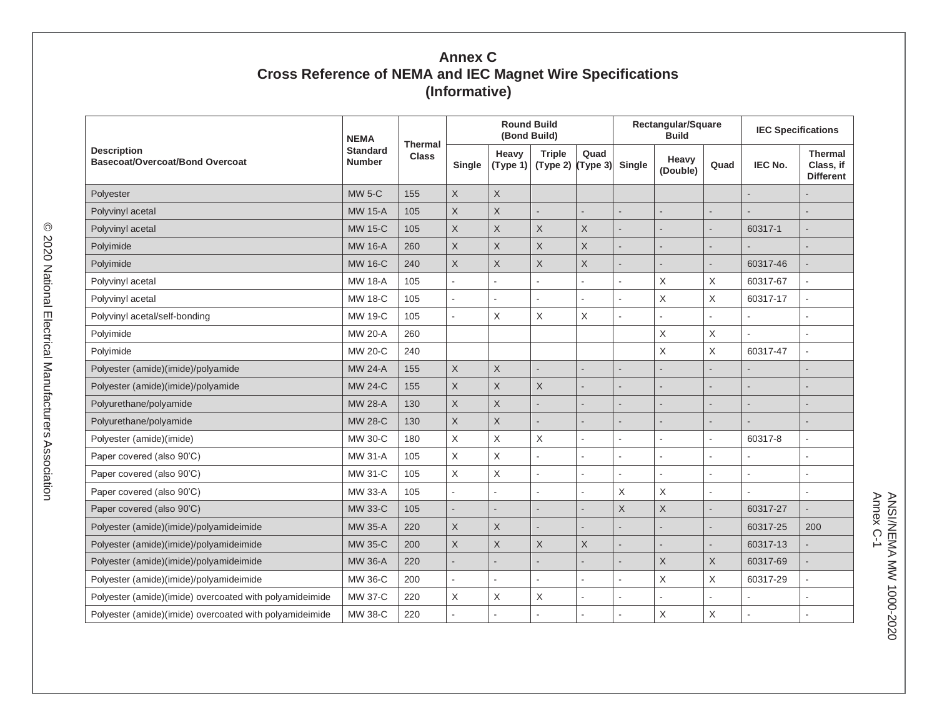## **Annex C Cross Reference of NEMA and IEC Magnet Wire Specifications (Informative)**

| <b>Description</b><br><b>Basecoat/Overcoat/Bond Overcoat</b> | <b>NEMA</b><br><b>Standard</b><br><b>Number</b> | Thermal<br><b>Class</b> | <b>Round Build</b><br>(Bond Build) |                   |                                      |                | Rectangular/Square<br><b>Build</b> |                   |                           | <b>IEC Specifications</b> |                                                 |
|--------------------------------------------------------------|-------------------------------------------------|-------------------------|------------------------------------|-------------------|--------------------------------------|----------------|------------------------------------|-------------------|---------------------------|---------------------------|-------------------------------------------------|
|                                                              |                                                 |                         | Single                             | Heavy<br>(Type 1) | <b>Triple</b><br>$(Type 2)$ (Type 3) | Quad           | <b>Single</b>                      | Heavy<br>(Double) | Quad                      | <b>IEC No.</b>            | <b>Thermal</b><br>Class, if<br><b>Different</b> |
| Polyester                                                    | <b>MW 5-C</b>                                   | 155                     | X                                  | $\mathsf X$       |                                      |                |                                    |                   |                           |                           |                                                 |
| Polyvinyl acetal                                             | <b>MW 15-A</b>                                  | 105                     | $\times$                           | $\mathsf X$       | $\overline{a}$                       | L.             |                                    |                   |                           |                           |                                                 |
| Polyvinyl acetal                                             | <b>MW 15-C</b>                                  | 105                     | X                                  | $\mathsf X$       | X                                    | X              |                                    |                   |                           | 60317-1                   |                                                 |
| Polyimide                                                    | <b>MW 16-A</b>                                  | 260                     | Χ                                  | $\mathsf X$       | X                                    | X              |                                    |                   |                           |                           |                                                 |
| Polyimide                                                    | <b>MW 16-C</b>                                  | 240                     | X                                  | X                 | X                                    | X              |                                    |                   |                           | 60317-46                  |                                                 |
| Polyvinyl acetal                                             | <b>MW 18-A</b>                                  | 105                     |                                    |                   |                                      | ÷,             |                                    | X                 | $\times$                  | 60317-67                  |                                                 |
| Polyvinyl acetal                                             | <b>MW 18-C</b>                                  | 105                     |                                    | $\sim$            | L                                    | L.             |                                    | Χ                 | $\boldsymbol{\mathsf{X}}$ | 60317-17                  |                                                 |
| Polyvinyl acetal/self-bonding                                | MW 19-C                                         | 105                     |                                    | X                 | Χ                                    | $\mathsf X$    | ÷.                                 |                   |                           |                           |                                                 |
| Polyimide                                                    | MW 20-A                                         | 260                     |                                    |                   |                                      |                |                                    | X                 | X                         |                           |                                                 |
| Polyimide                                                    | <b>MW 20-C</b>                                  | 240                     |                                    |                   |                                      |                |                                    | $\times$          | $\times$                  | 60317-47                  |                                                 |
| Polyester (amide)(imide)/polyamide                           | <b>MW 24-A</b>                                  | 155                     | X                                  | X                 |                                      |                |                                    |                   |                           |                           |                                                 |
| Polyester (amide)(imide)/polyamide                           | <b>MW 24-C</b>                                  | 155                     | X                                  | $\mathsf X$       | X                                    | $\overline{a}$ |                                    |                   |                           |                           |                                                 |
| Polyurethane/polyamide                                       | <b>MW 28-A</b>                                  | 130                     | X                                  | $\mathsf X$       | ÷.                                   |                |                                    |                   |                           |                           | $\overline{\phantom{0}}$                        |
| Polyurethane/polyamide                                       | <b>MW 28-C</b>                                  | 130                     | X                                  | $\mathsf X$       |                                      |                |                                    |                   |                           |                           |                                                 |
| Polyester (amide)(imide)                                     | MW 30-C                                         | 180                     | X                                  | $\mathsf X$       | Χ                                    | L.             |                                    |                   |                           | 60317-8                   |                                                 |
| Paper covered (also 90'C)                                    | MW 31-A                                         | 105                     | X                                  | X                 |                                      | ÷,             |                                    |                   |                           |                           |                                                 |
| Paper covered (also 90'C)                                    | MW 31-C                                         | 105                     | Χ                                  | $\mathsf X$       | L.                                   | ÷,             |                                    |                   | ÷.                        |                           |                                                 |
| Paper covered (also 90'C)                                    | MW 33-A                                         | 105                     |                                    | $\mathbf{r}$      | $\overline{a}$                       | ÷,             | Χ                                  | X                 |                           |                           |                                                 |
| Paper covered (also 90°C)                                    | MW 33-C                                         | 105                     |                                    |                   |                                      |                | $\mathsf X$                        | $\mathsf{X}$      |                           | 60317-27                  |                                                 |
| Polyester (amide)(imide)/polyamideimide                      | <b>MW 35-A</b>                                  | 220                     | X                                  | X                 |                                      |                |                                    |                   |                           | 60317-25                  | 200                                             |
| Polyester (amide)(imide)/polyamideimide                      | <b>MW 35-C</b>                                  | 200                     | X                                  | $\mathsf X$       | X                                    | X              |                                    |                   |                           | 60317-13                  |                                                 |
| Polyester (amide)(imide)/polyamideimide                      | MW 36-A                                         | 220                     |                                    |                   |                                      |                |                                    | X                 | $\times$                  | 60317-69                  |                                                 |
| Polyester (amide)(imide)/polyamideimide                      | MW 36-C                                         | 200                     |                                    | $\mathbf{r}$      | L.                                   | ä,             |                                    | X                 | X                         | 60317-29                  |                                                 |
| Polyester (amide)(imide) overcoated with polyamideimide      | <b>MW 37-C</b>                                  | 220                     | Χ                                  | $\mathsf X$       | X                                    | Ĭ.             |                                    |                   |                           |                           |                                                 |
| Polyester (amide)(imide) overcoated with polyamideimide      | MW 38-C                                         | 220                     |                                    |                   |                                      |                |                                    | Χ                 | Χ                         |                           |                                                 |

ANSI/NEMA MW 1000-2020<br>Annex C-1 Annex C-1ANSI/NEMA MW 1000-2020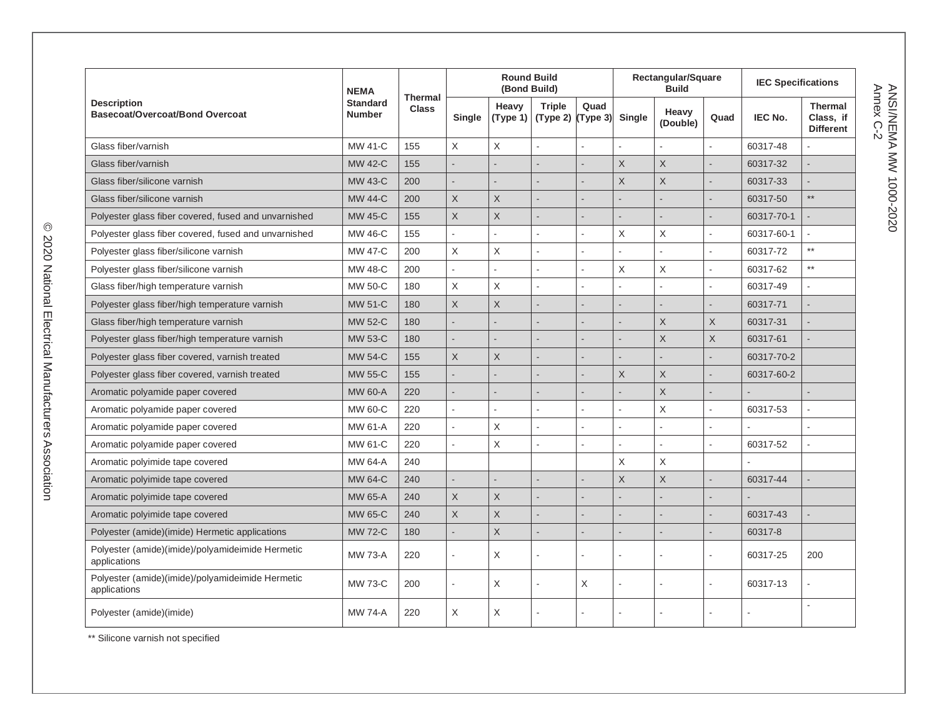| <b>Description</b><br>Basecoat/Overcoat/Bond Overcoat            | <b>NEMA</b><br><b>Standard</b><br><b>Number</b> | <b>Thermal</b><br><b>Class</b> |              | <b>Round Build</b><br>(Bond Build) |                                      |                | Rectangular/Square<br><b>Build</b> |                   |                          | <b>IEC Specifications</b> |                                                 |
|------------------------------------------------------------------|-------------------------------------------------|--------------------------------|--------------|------------------------------------|--------------------------------------|----------------|------------------------------------|-------------------|--------------------------|---------------------------|-------------------------------------------------|
|                                                                  |                                                 |                                | Single       | Heavy<br>(Type 1)                  | <b>Triple</b><br>$(Type 2)$ (Type 3) | Quad           | Single                             | Heavy<br>(Double) | Quad                     | <b>IEC No.</b>            | <b>Thermal</b><br>Class. if<br><b>Different</b> |
| Glass fiber/varnish                                              | MW 41-C                                         | 155                            | $\mathsf X$  | $\mathsf X$                        | ÷,                                   |                | L.                                 |                   |                          | 60317-48                  |                                                 |
| Glass fiber/varnish                                              | <b>MW 42-C</b>                                  | 155                            |              |                                    |                                      |                | $\sf X$                            | $\sf X$           |                          | 60317-32                  |                                                 |
| Glass fiber/silicone varnish                                     | <b>MW 43-C</b>                                  | 200                            |              |                                    | $\overline{a}$                       |                | $\overline{X}$                     | $\overline{X}$    |                          | 60317-33                  |                                                 |
| Glass fiber/silicone varnish                                     | <b>MW 44-C</b>                                  | 200                            | $\mathsf X$  | X                                  |                                      |                |                                    |                   |                          | 60317-50                  | $\star\star$                                    |
| Polyester glass fiber covered, fused and unvarnished             | <b>MW 45-C</b>                                  | 155                            | $\mathsf X$  | X                                  |                                      |                |                                    |                   |                          | 60317-70-1                |                                                 |
| Polyester glass fiber covered, fused and unvarnished             | MW 46-C                                         | 155                            |              |                                    | L                                    |                | X                                  | X                 | ÷,                       | 60317-60-1                |                                                 |
| Polyester glass fiber/silicone varnish                           | <b>MW 47-C</b>                                  | 200                            | $\times$     | X                                  | L.                                   | ÷              | ÷.                                 |                   | L.                       | 60317-72                  | $\star\star$                                    |
| Polyester glass fiber/silicone varnish                           | MW 48-C                                         | 200                            |              |                                    | ÷,                                   |                | $\sf X$                            | $\times$          |                          | 60317-62                  | $\star\star$                                    |
| Glass fiber/high temperature varnish                             | MW 50-C                                         | 180                            | $\mathsf X$  | $\mathsf X$                        | $\overline{a}$                       |                |                                    |                   | ä,                       | 60317-49                  | $\overline{\phantom{a}}$                        |
| Polyester glass fiber/high temperature varnish                   | <b>MW 51-C</b>                                  | 180                            | $\times$     | X                                  | $\overline{a}$                       |                |                                    |                   |                          | 60317-71                  |                                                 |
| Glass fiber/high temperature varnish                             | <b>MW 52-C</b>                                  | 180                            |              |                                    |                                      |                |                                    | X                 | X                        | 60317-31                  |                                                 |
| Polyester glass fiber/high temperature varnish                   | <b>MW 53-C</b>                                  | 180                            |              |                                    |                                      |                |                                    | X                 | X                        | 60317-61                  |                                                 |
| Polyester glass fiber covered, varnish treated                   | <b>MW 54-C</b>                                  | 155                            | $\mathsf X$  | X                                  |                                      |                |                                    |                   | $\overline{a}$           | 60317-70-2                |                                                 |
| Polyester glass fiber covered, varnish treated                   | <b>MW 55-C</b>                                  | 155                            |              |                                    |                                      |                | $\times$                           | X                 |                          | 60317-60-2                |                                                 |
| Aromatic polyamide paper covered                                 | <b>MW 60-A</b>                                  | 220                            |              |                                    | $\overline{a}$                       |                |                                    | $\overline{X}$    |                          |                           |                                                 |
| Aromatic polyamide paper covered                                 | MW 60-C                                         | 220                            |              |                                    | L.                                   |                |                                    | $\times$          | $\overline{a}$           | 60317-53                  |                                                 |
| Aromatic polyamide paper covered                                 | MW 61-A                                         | 220                            |              | X                                  | ÷,                                   |                | ÷.                                 |                   | ÷,                       |                           | $\overline{a}$                                  |
| Aromatic polyamide paper covered                                 | MW 61-C                                         | 220                            | $\mathbf{r}$ | $\mathsf X$                        | ÷,                                   | $\overline{a}$ | $\overline{a}$                     |                   | ÷,                       | 60317-52                  | L,                                              |
| Aromatic polyimide tape covered                                  | MW 64-A                                         | 240                            |              |                                    |                                      |                | $\mathsf X$                        | X                 |                          |                           |                                                 |
| Aromatic polyimide tape covered                                  | <b>MW 64-C</b>                                  | 240                            |              |                                    | $\overline{a}$                       |                | X                                  | X                 | $\overline{a}$           | 60317-44                  |                                                 |
| Aromatic polyimide tape covered                                  | <b>MW 65-A</b>                                  | 240                            | $\times$     | $\times$                           | $\overline{a}$                       |                |                                    |                   |                          |                           |                                                 |
| Aromatic polyimide tape covered                                  | <b>MW 65-C</b>                                  | 240                            | $\sf X$      | $\times$                           |                                      |                |                                    |                   |                          | 60317-43                  |                                                 |
| Polyester (amide)(imide) Hermetic applications                   | <b>MW 72-C</b>                                  | 180                            |              | $\mathsf X$                        | G.                                   |                |                                    |                   | $\overline{\phantom{0}}$ | 60317-8                   |                                                 |
| Polyester (amide)(imide)/polyamideimide Hermetic<br>applications | <b>MW 73-A</b>                                  | 220                            |              | X                                  | ä,                                   |                |                                    |                   | $\overline{a}$           | 60317-25                  | 200                                             |
| Polyester (amide)(imide)/polyamideimide Hermetic<br>applications | <b>MW 73-C</b>                                  | 200                            | $\sim$       | X                                  | ÷,                                   | X              | J.                                 |                   |                          | 60317-13                  |                                                 |
| Polyester (amide)(imide)                                         | <b>MW 74-A</b>                                  | 220                            | X            | X                                  |                                      |                |                                    |                   |                          |                           | $\overline{\phantom{a}}$                        |

\*\* Silicone varnish not specified

ANSI/NEMA MW 1000-2020<br>Annex C-2 Annex C-2 ANSI/NEMA MW 1000-2020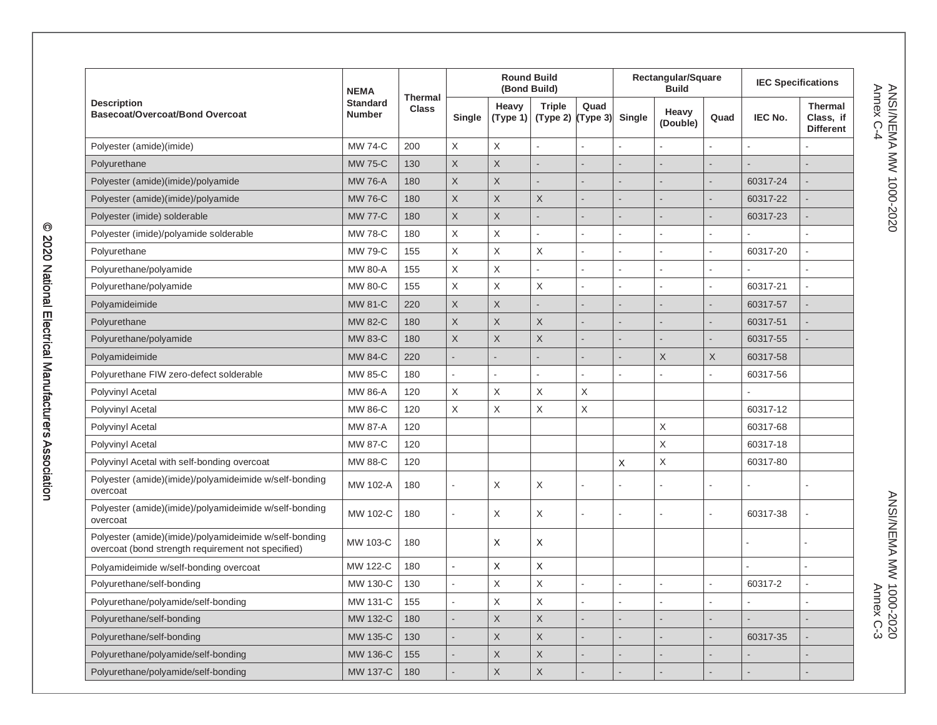| <b>Description</b><br><b>Basecoat/Overcoat/Bond Overcoat</b>                                                 | <b>NEMA</b><br><b>Standard</b><br><b>Number</b> | <b>Thermal</b><br><b>Class</b> | <b>Round Build</b><br>(Bond Build) |                         |                           |                  | Rectangular/Square<br><b>Build</b> |                   |                | <b>IEC Specifications</b> |                                                 |
|--------------------------------------------------------------------------------------------------------------|-------------------------------------------------|--------------------------------|------------------------------------|-------------------------|---------------------------|------------------|------------------------------------|-------------------|----------------|---------------------------|-------------------------------------------------|
|                                                                                                              |                                                 |                                | Single                             | Heavy<br>(Type 1)       | <b>Triple</b><br>(Type 2) | Quad<br>(Type 3) | <b>Single</b>                      | Heavy<br>(Double) | Quad           | IEC No.                   | <b>Thermal</b><br>Class, if<br><b>Different</b> |
| Polyester (amide)(imide)                                                                                     | <b>MW 74-C</b>                                  | 200                            | $\boldsymbol{\mathsf{X}}$          | $\mathsf X$             | $\sim$                    | $\overline{a}$   |                                    |                   | $\overline{a}$ | $\overline{a}$            |                                                 |
| Polyurethane                                                                                                 | <b>MW 75-C</b>                                  | 130                            | $\mathsf{X}$                       | $\sf X$                 |                           |                  |                                    |                   |                |                           |                                                 |
| Polyester (amide)(imide)/polyamide                                                                           | <b>MW 76-A</b>                                  | 180                            | $\mathsf X$                        | $\mathsf{X}$            |                           |                  |                                    |                   |                | 60317-24                  |                                                 |
| Polyester (amide)(imide)/polyamide                                                                           | <b>MW 76-C</b>                                  | 180                            | $\times$                           | $\times$                | $\times$                  |                  |                                    |                   |                | 60317-22                  |                                                 |
| Polyester (imide) solderable                                                                                 | <b>MW 77-C</b>                                  | 180                            | $\mathsf X$                        | $\sf X$                 |                           |                  |                                    |                   |                | 60317-23                  |                                                 |
| Polyester (imide)/polyamide solderable                                                                       | <b>MW 78-C</b>                                  | 180                            | $\mathsf X$                        | $\mathsf X$             |                           | ä,               |                                    |                   | ÷.             |                           |                                                 |
| Polyurethane                                                                                                 | <b>MW 79-C</b>                                  | 155                            | $\sf X$                            | $\mathsf X$             | $\mathsf X$               |                  |                                    |                   | ä,             | 60317-20                  |                                                 |
| Polyurethane/polyamide                                                                                       | <b>MW 80-A</b>                                  | 155                            | $\mathsf X$                        | $\sf X$                 | ÷.                        |                  |                                    |                   | L.             |                           | ×.                                              |
| Polyurethane/polyamide                                                                                       | <b>MW 80-C</b>                                  | 155                            | $\mathsf X$                        | $\mathsf X$             | $\mathsf X$               | L.               | L.                                 |                   | L.             | 60317-21                  | L.                                              |
| Polyamideimide                                                                                               | <b>MW 81-C</b>                                  | 220                            | $\mathsf X$                        | $\mathsf{X}$            |                           |                  |                                    |                   |                | 60317-57                  |                                                 |
| Polyurethane                                                                                                 | MW 82-C                                         | 180                            | $\mathsf X$                        | $\overline{\mathsf{X}}$ | $\mathsf X$               |                  |                                    |                   |                | 60317-51                  |                                                 |
| Polyurethane/polyamide                                                                                       | <b>MW 83-C</b>                                  | 180                            | $\mathsf X$                        | $\mathsf X$             | X                         |                  |                                    |                   |                | 60317-55                  |                                                 |
| Polyamideimide                                                                                               | <b>MW 84-C</b>                                  | 220                            |                                    |                         |                           |                  |                                    | $\mathsf X$       | X              | 60317-58                  |                                                 |
| Polyurethane FIW zero-defect solderable                                                                      | <b>MW 85-C</b>                                  | 180                            |                                    |                         |                           |                  |                                    |                   | ä,             | 60317-56                  |                                                 |
| <b>Polyvinyl Acetal</b>                                                                                      | <b>MW 86-A</b>                                  | 120                            | $\mathsf X$                        | $\mathsf X$             | X                         | X                |                                    |                   |                |                           |                                                 |
| Polyvinyl Acetal                                                                                             | MW 86-C                                         | 120                            | $\mathsf X$                        | $\mathsf X$             | X                         | $\mathsf X$      |                                    |                   |                | 60317-12                  |                                                 |
| Polyvinyl Acetal                                                                                             | <b>MW 87-A</b>                                  | 120                            |                                    |                         |                           |                  |                                    | X                 |                | 60317-68                  |                                                 |
| Polyvinyl Acetal                                                                                             | <b>MW 87-C</b>                                  | 120                            |                                    |                         |                           |                  |                                    | $\sf X$           |                | 60317-18                  |                                                 |
| Polyvinyl Acetal with self-bonding overcoat                                                                  | MW 88-C                                         | 120                            |                                    |                         |                           |                  | $\sf X$                            | $\mathsf X$       |                | 60317-80                  |                                                 |
| Polyester (amide)(imide)/polyamideimide w/self-bonding<br>overcoat                                           | MW 102-A                                        | 180                            |                                    | X                       | $\mathsf X$               |                  |                                    |                   |                |                           |                                                 |
| Polyester (amide)(imide)/polyamideimide w/self-bonding<br>overcoat                                           | MW 102-C                                        | 180                            |                                    | X                       | X                         |                  |                                    |                   |                | 60317-38                  |                                                 |
| Polyester (amide)(imide)/polyamideimide w/self-bonding<br>overcoat (bond strength requirement not specified) | MW 103-C                                        | 180                            |                                    | X                       | $\boldsymbol{\mathsf{X}}$ |                  |                                    |                   |                |                           |                                                 |
| Polyamideimide w/self-bonding overcoat                                                                       | MW 122-C                                        | 180                            | $\overline{a}$                     | X                       | $\mathsf{X}$              |                  |                                    |                   |                |                           |                                                 |
| Polyurethane/self-bonding                                                                                    | MW 130-C                                        | 130                            |                                    | $\sf X$                 | $\sf X$                   |                  |                                    |                   | L.             | 60317-2                   |                                                 |
| Polyurethane/polyamide/self-bonding                                                                          | MW 131-C                                        | 155                            |                                    | $\mathsf X$             | $\sf X$                   | ÷,               |                                    |                   | L.             |                           | $\overline{\phantom{a}}$                        |
| Polyurethane/self-bonding                                                                                    | MW 132-C                                        | 180                            |                                    | $\mathsf X$             | $\mathsf X$               |                  |                                    |                   | ٠              |                           |                                                 |
| Polyurethane/self-bonding                                                                                    | MW 135-C                                        | 130                            |                                    | $\sf X$                 | $\mathsf X$               | $\overline{a}$   |                                    |                   |                | 60317-35                  |                                                 |
| Polyurethane/polyamide/self-bonding                                                                          | MW 136-C                                        | 155                            |                                    | $\sf X$                 | $\mathsf X$               |                  |                                    |                   |                |                           |                                                 |
| Polyurethane/polyamide/self-bonding                                                                          | MW 137-C                                        | 180                            |                                    | $\mathsf{X}$            | $\mathsf X$               |                  |                                    |                   |                |                           |                                                 |

ANSI/NEMA MW 1000-2020<br>Annex C-4 Annex C-4 ANSI/NEMA MW 1000-2020

ANSI/NEMA MWA NOO-2020<br>ANSI/NEMA MWA NOO-2020 ANSI/NEMA MW 1000-2020 Annex C-3